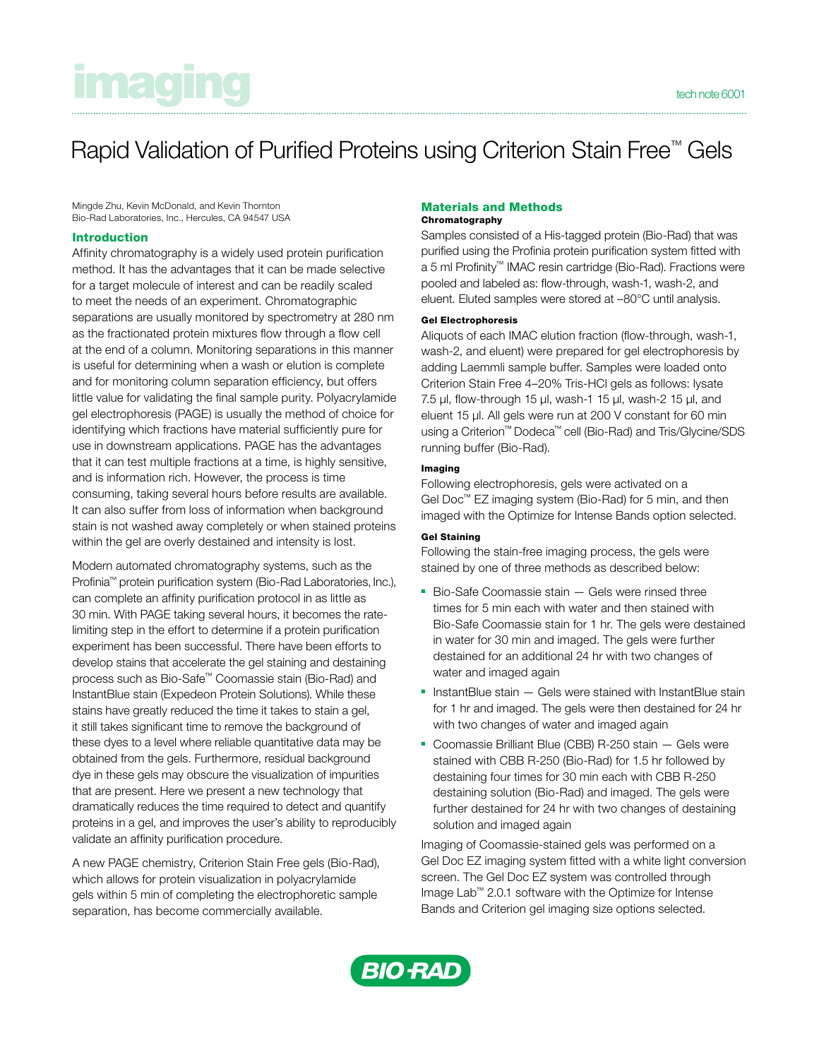# **inaging the character of the contract of the character of the character of the character scool technological structure scool technological structure scool technological structure scool technological structure scool techno**

# Rapid Validation of Purified Proteins using Criterion Stain Free™ Gels

Mingde Zhu, Kevin McDonald, and Kevin Thornton Bio-Rad Laboratories, Inc., Hercules, CA 94547 USA

# Introduction

Affinity chromatography is a widely used protein purification method. It has the advantages that it can be made selective for a target molecule of interest and can be readily scaled to meet the needs of an experiment. Chromatographic separations are usually monitored by spectrometry at 280 nm as the fractionated protein mixtures flow through a flow cell at the end of a column. Monitoring separations in this manner is useful for determining when a wash or elution is complete and for monitoring column separation efficiency, but offers little value for validating the final sample purity. Polyacrylamide gel electrophoresis (PAGE) is usually the method of choice for identifying which fractions have material sufficiently pure for use in downstream applications. PAGE has the advantages that it can test multiple fractions at a time, is highly sensitive, and is information rich. However, the process is time consuming, taking several hours before results are available. It can also suffer from loss of information when background stain is not washed away completely or when stained proteins within the gel are overly destained and intensity is lost.

Modern automated chromatography systems, such as the Profinia™ protein purification system (Bio-Rad Laboratories, Inc.), can complete an affinity purification protocol in as little as 30 min. With PAGE taking several hours, it becomes the ratelimiting step in the effort to determine if a protein purification experiment has been successful. There have been efforts to develop stains that accelerate the gel staining and destaining process such as Bio-Safe™ Coomassie stain (Bio-Rad) and InstantBlue stain (Expedeon Protein Solutions). While these stains have greatly reduced the time it takes to stain a gel, it still takes significant time to remove the background of these dyes to a level where reliable quantitative data may be obtained from the gels. Furthermore, residual background dye in these gels may obscure the visualization of impurities that are present. Here we present a new technology that dramatically reduces the time required to detect and quantify proteins in a gel, and improves the user's ability to reproducibly validate an affinity purification procedure.

A new PAGE chemistry, Criterion Stain Free gels (Bio-Rad), which allows for protein visualization in polyacrylamide gels within 5 min of completing the electrophoretic sample separation, has become commercially available.

#### Materials and Methods Chromatography

Samples consisted of a His-tagged protein (Bio-Rad) that was purified using the Profinia protein purification system fitted with a 5 ml Profinity™ IMAC resin cartridge (Bio-Rad). Fractions were pooled and labeled as: flow-through, wash-1, wash-2, and eluent. Eluted samples were stored at –80°C until analysis.

#### Gel Electrophoresis

Aliquots of each IMAC elution fraction (flow-through, wash-1, wash-2, and eluent) were prepared for gel electrophoresis by adding Laemmli sample buffer. Samples were loaded onto Criterion Stain Free 4–20% Tris-HCl gels as follows: lysate 7.5 µl, flow-through 15 µl, wash-1 15 µl, wash-2 15 µl, and eluent 15 µl. All gels were run at 200 V constant for 60 min using a Criterion™ Dodeca™ cell (Bio-Rad) and Tris/Glycine/SDS running buffer (Bio-Rad).

### Imaging

Following electrophoresis, gels were activated on a Gel Doc™ EZ imaging system (Bio-Rad) for 5 min, and then imaged with the Optimize for Intense Bands option selected.

## Gel Staining

Following the stain-free imaging process, the gels were stained by one of three methods as described below:

- Bio-Safe Coomassie stain Gels were rinsed three times for 5 min each with water and then stained with Bio-Safe Coomassie stain for 1 hr. The gels were destained in water for 30 min and imaged. The gels were further destained for an additional 24 hr with two changes of water and imaged again
- InstantBlue stain Gels were stained with InstantBlue stain for 1 hr and imaged. The gels were then destained for 24 hr with two changes of water and imaged again
- Coomassie Brilliant Blue (CBB) R-250 stain Gels were stained with CBB R-250 (Bio-Rad) for 1.5 hr followed by destaining four times for 30 min each with CBB R-250 destaining solution (Bio-Rad) and imaged. The gels were further destained for 24 hr with two changes of destaining solution and imaged again

Imaging of Coomassie-stained gels was performed on a Gel Doc EZ imaging system fitted with a white light conversion screen. The Gel Doc EZ system was controlled through Image Lab™ 2.0.1 software with the Optimize for Intense Bands and Criterion gel imaging size options selected.

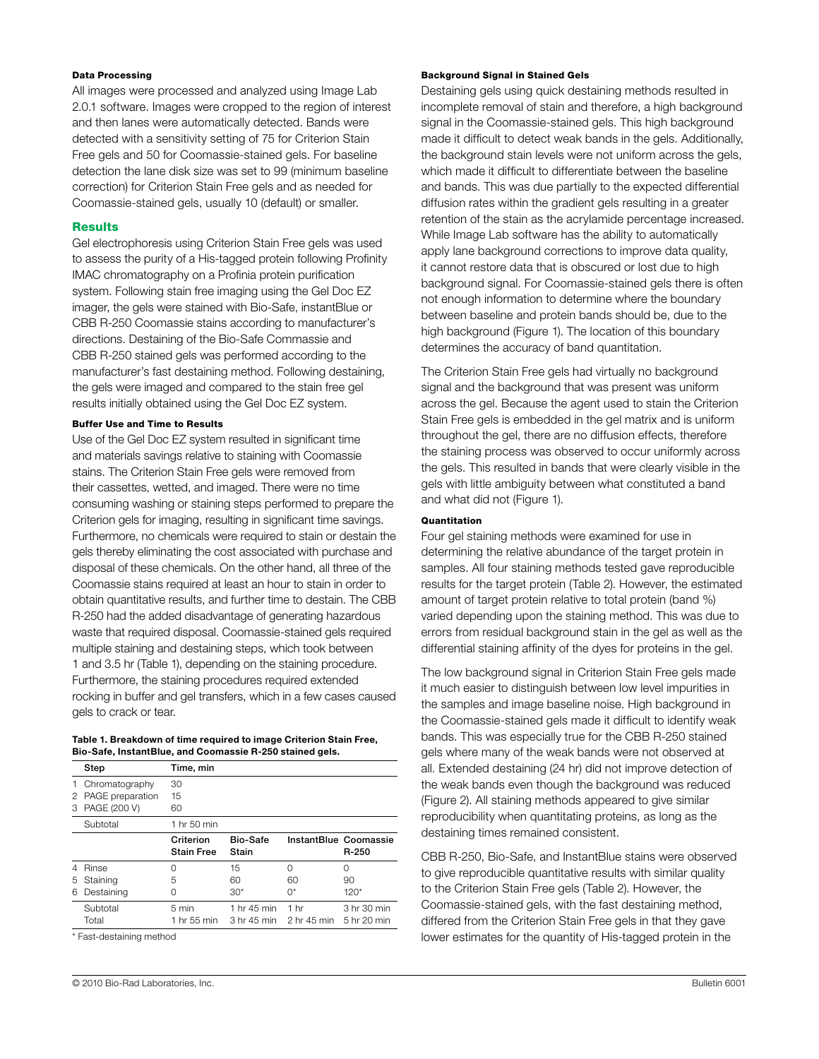# Data Processing

All images were processed and analyzed using Image Lab 2.0.1 software. Images were cropped to the region of interest and then lanes were automatically detected. Bands were detected with a sensitivity setting of 75 for Criterion Stain Free gels and 50 for Coomassie-stained gels. For baseline detection the lane disk size was set to 99 (minimum baseline correction) for Criterion Stain Free gels and as needed for Coomassie-stained gels, usually 10 (default) or smaller.

### **Results**

Gel electrophoresis using Criterion Stain Free gels was used to assess the purity of a His-tagged protein following Profinity IMAC chromatography on a Profinia protein purification system. Following stain free imaging using the Gel Doc EZ imager, the gels were stained with Bio-Safe, instantBlue or CBB R-250 Coomassie stains according to manufacturer's directions. Destaining of the Bio-Safe Commassie and CBB R-250 stained gels was performed according to the manufacturer's fast destaining method. Following destaining, the gels were imaged and compared to the stain free gel results initially obtained using the Gel Doc EZ system.

#### Buffer Use and Time to Results

Use of the Gel Doc EZ system resulted in significant time and materials savings relative to staining with Coomassie stains. The Criterion Stain Free gels were removed from their cassettes, wetted, and imaged. There were no time consuming washing or staining steps performed to prepare the Criterion gels for imaging, resulting in significant time savings. Furthermore, no chemicals were required to stain or destain the gels thereby eliminating the cost associated with purchase and disposal of these chemicals. On the other hand, all three of the Coomassie stains required at least an hour to stain in order to obtain quantitative results, and further time to destain. The CBB R-250 had the added disadvantage of generating hazardous waste that required disposal. Coomassie-stained gels required multiple staining and destaining steps, which took between 1 and 3.5 hr (Table 1), depending on the staining procedure. Furthermore, the staining procedures required extended rocking in buffer and gel transfers, which in a few cases caused gels to crack or tear.

| Table 1. Breakdown of time required to image Criterion Stain Free, |
|--------------------------------------------------------------------|
| Bio-Safe, InstantBlue, and Coomassie R-250 stained gels.           |

|    | Step               | Time, min                      |                         |                 |                                |
|----|--------------------|--------------------------------|-------------------------|-----------------|--------------------------------|
|    | 1 Chromatography   | 30                             |                         |                 |                                |
|    | 2 PAGE preparation | 15                             |                         |                 |                                |
| 3  | PAGE (200 V)       | 60                             |                         |                 |                                |
|    | Subtotal           | 1 hr 50 min                    |                         |                 |                                |
|    |                    | Criterion<br><b>Stain Free</b> | Bio-Safe<br>Stain       |                 | InstantBlue Coomassie<br>R-250 |
|    | Rinse              | O                              | 15                      | $\Omega$        | O                              |
| 5. | Staining           | 5                              | 60                      | 60              | 90                             |
| 6  | Destaining         | O                              | $30*$                   | 0*              | $120*$                         |
|    | Subtotal           | 5 min                          | 1 hr 45 min             | 1 <sub>hr</sub> | 3 hr 30 min                    |
|    | Total              | 1 hr 55 min                    | 3 hr 45 min 2 hr 45 min |                 | 5 hr 20 min                    |

\* Fast-destaining method

#### Background Signal in Stained Gels

Destaining gels using quick destaining methods resulted in incomplete removal of stain and therefore, a high background signal in the Coomassie-stained gels. This high background made it difficult to detect weak bands in the gels. Additionally, the background stain levels were not uniform across the gels, which made it difficult to differentiate between the baseline and bands. This was due partially to the expected differential diffusion rates within the gradient gels resulting in a greater retention of the stain as the acrylamide percentage increased. While Image Lab software has the ability to automatically apply lane background corrections to improve data quality, it cannot restore data that is obscured or lost due to high background signal. For Coomassie-stained gels there is often not enough information to determine where the boundary between baseline and protein bands should be, due to the high background (Figure 1). The location of this boundary determines the accuracy of band quantitation.

The Criterion Stain Free gels had virtually no background signal and the background that was present was uniform across the gel. Because the agent used to stain the Criterion Stain Free gels is embedded in the gel matrix and is uniform throughout the gel, there are no diffusion effects, therefore the staining process was observed to occur uniformly across the gels. This resulted in bands that were clearly visible in the gels with little ambiguity between what constituted a band and what did not (Figure 1).

# Quantitation

Four gel staining methods were examined for use in determining the relative abundance of the target protein in samples. All four staining methods tested gave reproducible results for the target protein (Table 2). However, the estimated amount of target protein relative to total protein (band %) varied depending upon the staining method. This was due to errors from residual background stain in the gel as well as the differential staining affinity of the dyes for proteins in the gel.

The low background signal in Criterion Stain Free gels made it much easier to distinguish between low level impurities in the samples and image baseline noise. High background in the Coomassie-stained gels made it difficult to identify weak bands. This was especially true for the CBB R-250 stained gels where many of the weak bands were not observed at all. Extended destaining (24 hr) did not improve detection of the weak bands even though the background was reduced (Figure 2). All staining methods appeared to give similar reproducibility when quantitating proteins, as long as the destaining times remained consistent.

CBB R-250, Bio-Safe, and InstantBlue stains were observed to give reproducible quantitative results with similar quality to the Criterion Stain Free gels (Table 2). However, the Coomassie-stained gels, with the fast destaining method, differed from the Criterion Stain Free gels in that they gave lower estimates for the quantity of His-tagged protein in the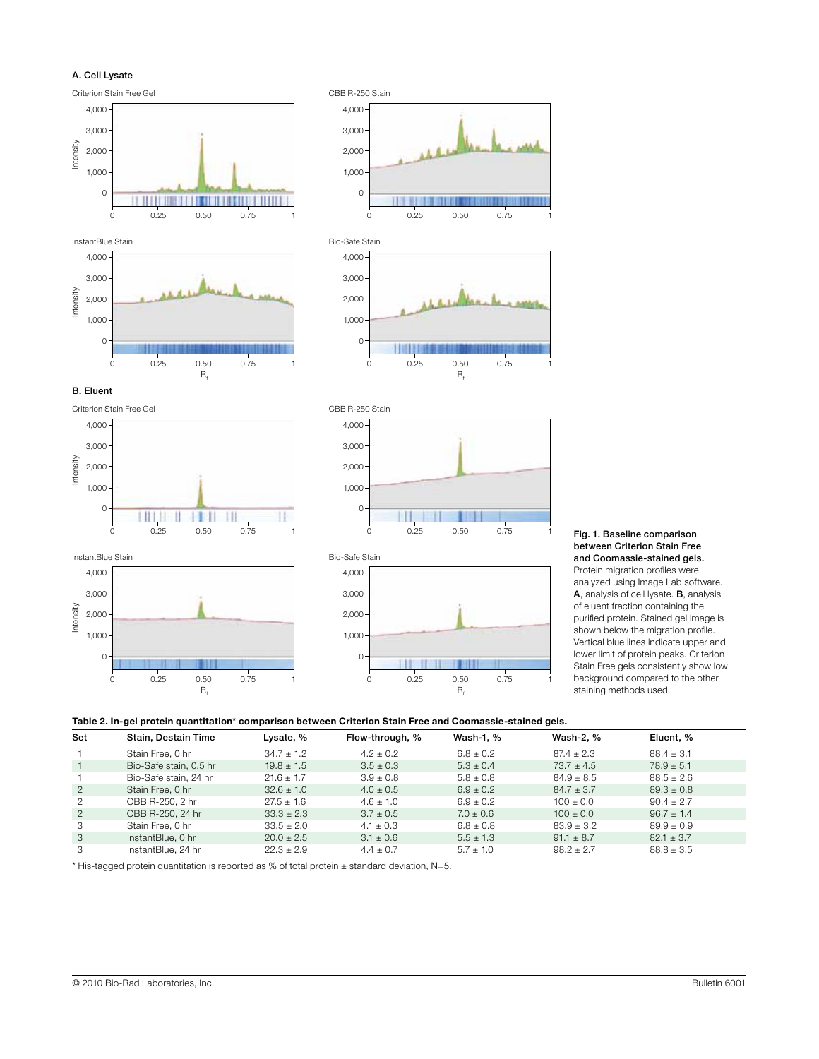



Fig. 1. Baseline comparison between Criterion Stain Free and Coomassie-stained gels. Protein migration profiles were analyzed using Image Lab software. A, analysis of cell lysate. B, analysis of eluent fraction containing the purified protein. Stained gel image is shown below the migration profile. Vertical blue lines indicate upper and lower limit of protein peaks. Criterion Stain Free gels consistently show low background compared to the other staining methods used.

# Table 2. In-gel protein quantitation\* comparison between Criterion Stain Free and Coomassie-stained gels.

| Set            | Stain, Destain Time    | Lysate, %      | Flow-through, % | Wash-1, %     | Wash-2, %      | Eluent, %      |
|----------------|------------------------|----------------|-----------------|---------------|----------------|----------------|
|                | Stain Free, 0 hr       | $34.7 + 1.2$   | $4.2 + 0.2$     | $6.8 + 0.2$   | $87.4 + 2.3$   | $88.4 + 3.1$   |
|                | Bio-Safe stain, 0.5 hr | $19.8 \pm 1.5$ | $3.5 \pm 0.3$   | $5.3 \pm 0.4$ | $73.7 \pm 4.5$ | $78.9 \pm 5.1$ |
|                | Bio-Safe stain, 24 hr  | $21.6 \pm 1.7$ | $3.9 \pm 0.8$   | $5.8 \pm 0.8$ | $84.9 \pm 8.5$ | $88.5 \pm 2.6$ |
| $\overline{2}$ | Stain Free, 0 hr       | $32.6 \pm 1.0$ | $4.0 \pm 0.5$   | $6.9 \pm 0.2$ | $84.7 \pm 3.7$ | $89.3 \pm 0.8$ |
| 2              | CBB R-250, 2 hr        | $27.5 \pm 1.6$ | $4.6 \pm 1.0$   | $6.9 \pm 0.2$ | $100 \pm 0.0$  | $90.4 \pm 2.7$ |
| 2              | CBB R-250, 24 hr       | $33.3 \pm 2.3$ | $3.7 \pm 0.5$   | $7.0 \pm 0.6$ | $100 \pm 0.0$  | $96.7 \pm 1.4$ |
| 3              | Stain Free, 0 hr       | $33.5 \pm 2.0$ | $4.1 \pm 0.3$   | $6.8 \pm 0.8$ | $83.9 \pm 3.2$ | $89.9 \pm 0.9$ |
| 3              | InstantBlue, 0 hr      | $20.0 \pm 2.5$ | $3.1 \pm 0.6$   | $5.5 \pm 1.3$ | $91.1 \pm 8.7$ | $82.1 \pm 3.7$ |
| 3              | InstantBlue, 24 hr     | $22.3 \pm 2.9$ | $4.4 \pm 0.7$   | $5.7 \pm 1.0$ | $98.2 \pm 2.7$ | $88.8 \pm 3.5$ |